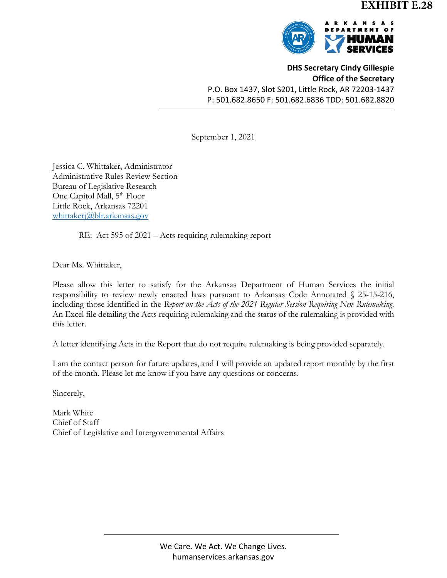

**DHS Secretary Cindy Gillespie Office of the Secretary** P.O. Box 1437, Slot S201, Little Rock, AR 72203-1437 P: 501.682.8650 F: 501.682.6836 TDD: 501.682.8820

September 1, 2021

Jessica C. Whittaker, Administrator Administrative Rules Review Section Bureau of Legislative Research One Capitol Mall, 5<sup>th</sup> Floor Little Rock, Arkansas 72201 [whittakerj@blr.arkansas.gov](mailto:whittakerj@blr.arkansas.gov)

RE: Act 595 of 2021 – Acts requiring rulemaking report

Dear Ms. Whittaker,

Please allow this letter to satisfy for the Arkansas Department of Human Services the initial responsibility to review newly enacted laws pursuant to Arkansas Code Annotated § 25-15-216, including those identified in the *Report on the Acts of the 2021 Regular Session Requiring New Rulemaking*. An Excel file detailing the Acts requiring rulemaking and the status of the rulemaking is provided with this letter.

A letter identifying Acts in the Report that do not require rulemaking is being provided separately.

I am the contact person for future updates, and I will provide an updated report monthly by the first of the month. Please let me know if you have any questions or concerns.

Sincerely,

Mark White Chief of Staff Chief of Legislative and Intergovernmental Affairs